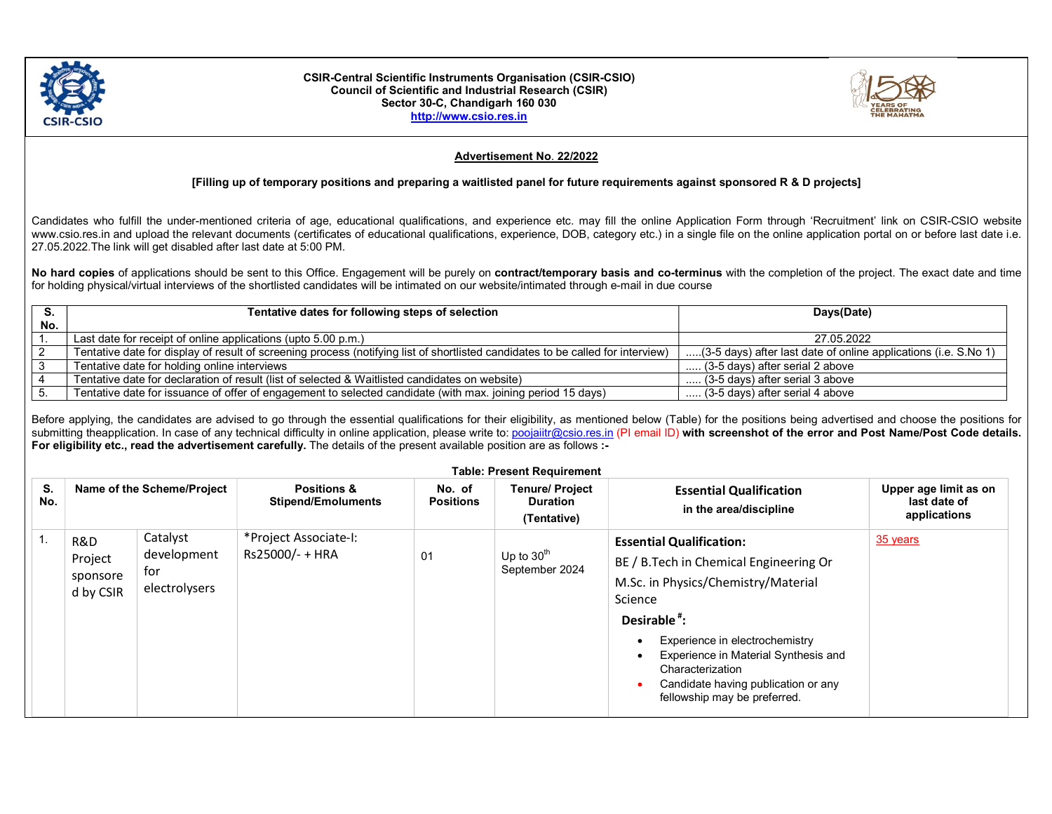

#### CSIR-Central Scientific Instruments Organisation (CSIR-CSIO) Council of Scientific and Industrial Research (CSIR) Sector 30-C, Chandigarh 160 030 http://www.csio.res.in



# Advertisement No. 22/2022

## [Filling up of temporary positions and preparing a waitlisted panel for future requirements against sponsored R & D projects]

Candidates who fulfill the under-mentioned criteria of age, educational qualifications, and experience etc. may fill the online Application Form through 'Recruitment' link on CSIR-CSIO website www.csio.res.in and upload the relevant documents (certificates of educational qualifications, experience, DOB, category etc.) in a single file on the online application portal on or before last date i.e. 27.05.2022.The link will get disabled after last date at 5:00 PM.

No hard copies of applications should be sent to this Office. Engagement will be purely on contract/temporary basis and co-terminus with the completion of the project. The exact date and time for holding physical/virtual interviews of the shortlisted candidates will be intimated on our website/intimated through e-mail in due course

|     | Tentative dates for following steps of selection                                                                                | Days(Date)                                                      |
|-----|---------------------------------------------------------------------------------------------------------------------------------|-----------------------------------------------------------------|
| No. |                                                                                                                                 |                                                                 |
|     | Last date for receipt of online applications (upto 5.00 p.m.)                                                                   | 27.05.2022                                                      |
|     | Tentative date for display of result of screening process (notifying list of shortlisted candidates to be called for interview) | (3-5 days) after last date of online applications (i.e. S.No 1) |
|     | Tentative date for holding online interviews                                                                                    | (3-5 days) after serial 2 above                                 |
|     | Tentative date for declaration of result (list of selected & Waitlisted candidates on website)                                  | (3-5 days) after serial 3 above                                 |
|     | Tentative date for issuance of offer of engagement to selected candidate (with max. joining period 15 days)                     | $\ldots$ (3-5 days) after serial 4 above                        |

Before applying, the candidates are advised to go through the essential qualifications for their eligibility, as mentioned below (Table) for the positions being advertised and choose the positions for submitting theapplication. In case of any technical difficulty in online application, please write to: poojaiitr@csio.res.in (PI email ID) with screenshot of the error and Post Name/Post Code details. For eligibility etc., read the advertisement carefully. The details of the present available position are as follows :-

| <b>Table: Present Requirement</b> |                                         |                                                 |                                                     |                            |                                                          |                                                                                                                                                                                                                                                                                                                               |                                                       |  |
|-----------------------------------|-----------------------------------------|-------------------------------------------------|-----------------------------------------------------|----------------------------|----------------------------------------------------------|-------------------------------------------------------------------------------------------------------------------------------------------------------------------------------------------------------------------------------------------------------------------------------------------------------------------------------|-------------------------------------------------------|--|
| S.<br>No.                         |                                         | Name of the Scheme/Project                      | <b>Positions &amp;</b><br><b>Stipend/Emoluments</b> | No. of<br><b>Positions</b> | <b>Tenure/ Project</b><br><b>Duration</b><br>(Tentative) | <b>Essential Qualification</b><br>in the area/discipline                                                                                                                                                                                                                                                                      | Upper age limit as on<br>last date of<br>applications |  |
|                                   | R&D<br>Project<br>sponsore<br>d by CSIR | Catalyst<br>development<br>for<br>electrolysers | *Project Associate-I:<br>Rs25000/- + HRA            | 01                         | Up to $30th$<br>September 2024                           | <b>Essential Qualification:</b><br>BE / B. Tech in Chemical Engineering Or<br>M.Sc. in Physics/Chemistry/Material<br>Science<br>Desirable <sup>#</sup> :<br>Experience in electrochemistry<br>Experience in Material Synthesis and<br>Characterization<br>Candidate having publication or any<br>fellowship may be preferred. | 35 years                                              |  |